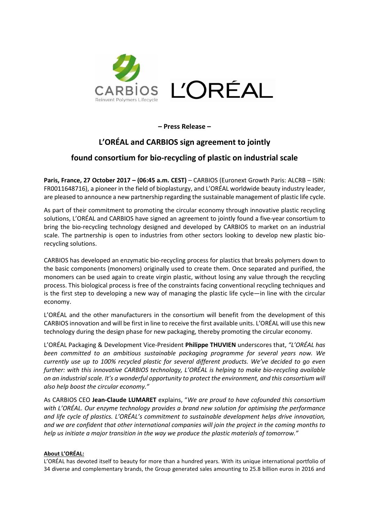

**– Press Release –** 

# **L'ORÉAL and CARBIOS sign agreement to jointly**

## **found consortium for bio-recycling of plastic on industrial scale**

**Paris, France, 27 October 2017 – (06:45 a.m. CEST)** – CARBIOS (Euronext Growth Paris: ALCRB – ISIN: FR0011648716), a pioneer in the field of bioplasturgy, and L'ORÉAL worldwide beauty industry leader, are pleased to announce a new partnership regarding the sustainable management of plastic life cycle.

As part of their commitment to promoting the circular economy through innovative plastic recycling solutions, L'ORÉAL and CARBIOS have signed an agreement to jointly found a five-year consortium to bring the bio-recycling technology designed and developed by CARBIOS to market on an industrial scale. The partnership is open to industries from other sectors looking to develop new plastic biorecycling solutions.

CARBIOS has developed an enzymatic bio-recycling process for plastics that breaks polymers down to the basic components (monomers) originally used to create them. Once separated and purified, the monomers can be used again to create virgin plastic, without losing any value through the recycling process. This biological process is free of the constraints facing conventional recycling techniques and is the first step to developing a new way of managing the plastic life cycle—in line with the circular economy.

L'ORÉAL and the other manufacturers in the consortium will benefit from the development of this CARBIOS innovation and will be first in line to receive the first available units. L'ORÉAL will use this new technology during the design phase for new packaging, thereby promoting the circular economy.

L'ORÉAL Packaging & Development Vice-President **Philippe THUVIEN** underscores that, *"L'ORÉAL has been committed to an ambitious sustainable packaging programme for several years now. We currently use up to 100% recycled plastic for several different products. We've decided to go even further: with this innovative CARBIOS technology, L'ORÉAL is helping to make bio-recycling available on an industrial scale. It's a wonderful opportunity to protect the environment, and this consortium will also help boost the circular economy."* 

As CARBIOS CEO **Jean-Claude LUMARET** explains, "*We are proud to have cofounded this consortium with L'ORÉAL. Our enzyme technology provides a brand new solution for optimising the performance and life cycle of plastics. L'ORÉAL's commitment to sustainable development helps drive innovation, and we are confident that other international companies will join the project in the coming months to help us initiate a major transition in the way we produce the plastic materials of tomorrow."* 

### **About L'ORÉAL:**

L'ORÉAL has devoted itself to beauty for more than a hundred years. With its unique international portfolio of 34 diverse and complementary brands, the Group generated sales amounting to 25.8 billion euros in 2016 and